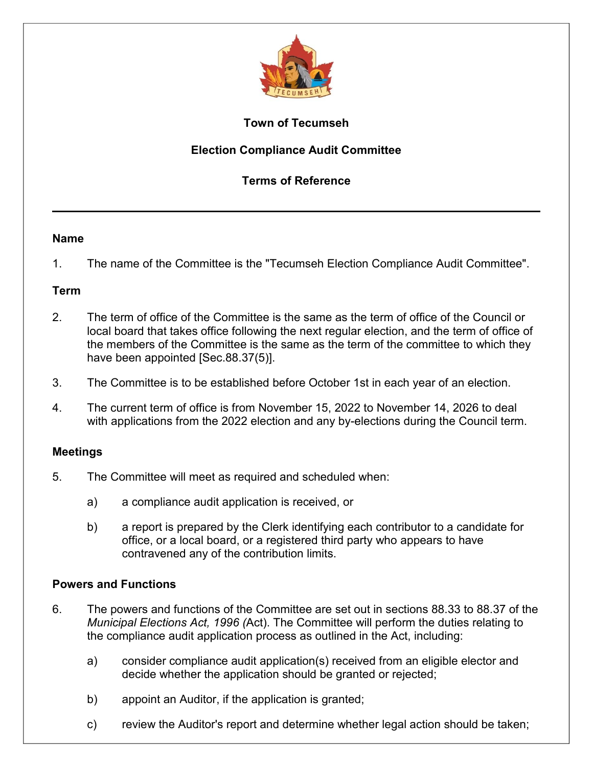

# **Town of Tecumseh**

# **Election Compliance Audit Committee**

# **Terms of Reference**

### **Name**

1. The name of the Committee is the "Tecumseh Election Compliance Audit Committee".

### **Term**

- 2. The term of office of the Committee is the same as the term of office of the Council or local board that takes office following the next regular election, and the term of office of the members of the Committee is the same as the term of the committee to which they have been appointed [Sec.88.37(5)].
- 3. The Committee is to be established before October 1st in each year of an election.
- 4. The current term of office is from November 15, 2022 to November 14, 2026 to deal with applications from the 2022 election and any by-elections during the Council term.

### **Meetings**

- 5. The Committee will meet as required and scheduled when:
	- a) a compliance audit application is received, or
	- b) a report is prepared by the Clerk identifying each contributor to a candidate for office, or a local board, or a registered third party who appears to have contravened any of the contribution limits.

# **Powers and Functions**

- 6. The powers and functions of the Committee are set out in sections 88.33 to 88.37 of the *Municipal Elections Act, 1996 (*Act). The Committee will perform the duties relating to the compliance audit application process as outlined in the Act, including:
	- a) consider compliance audit application(s) received from an eligible elector and decide whether the application should be granted or rejected;
	- b) appoint an Auditor, if the application is granted;
	- c) review the Auditor's report and determine whether legal action should be taken;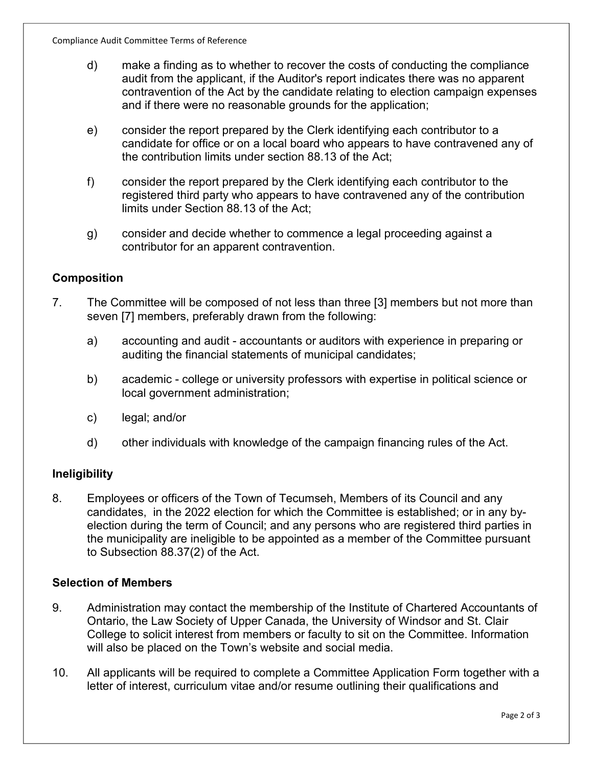- d) make a finding as to whether to recover the costs of conducting the compliance audit from the applicant, if the Auditor's report indicates there was no apparent contravention of the Act by the candidate relating to election campaign expenses and if there were no reasonable grounds for the application;
- e) consider the report prepared by the Clerk identifying each contributor to a candidate for office or on a local board who appears to have contravened any of the contribution limits under section 88.13 of the Act;
- f) consider the report prepared by the Clerk identifying each contributor to the registered third party who appears to have contravened any of the contribution limits under Section 88.13 of the Act;
- g) consider and decide whether to commence a legal proceeding against a contributor for an apparent contravention.

## **Composition**

- 7. The Committee will be composed of not less than three [3] members but not more than seven [7] members, preferably drawn from the following:
	- a) accounting and audit accountants or auditors with experience in preparing or auditing the financial statements of municipal candidates;
	- b) academic college or university professors with expertise in political science or local government administration;
	- c) legal; and/or
	- d) other individuals with knowledge of the campaign financing rules of the Act.

### **Ineligibility**

8. Employees or officers of the Town of Tecumseh, Members of its Council and any candidates, in the 2022 election for which the Committee is established; or in any byelection during the term of Council; and any persons who are registered third parties in the municipality are ineligible to be appointed as a member of the Committee pursuant to Subsection 88.37(2) of the Act.

### **Selection of Members**

- 9. Administration may contact the membership of the Institute of Chartered Accountants of Ontario, the Law Society of Upper Canada, the University of Windsor and St. Clair College to solicit interest from members or faculty to sit on the Committee. Information will also be placed on the Town's website and social media.
- 10. All applicants will be required to complete a Committee Application Form together with a letter of interest, curriculum vitae and/or resume outlining their qualifications and